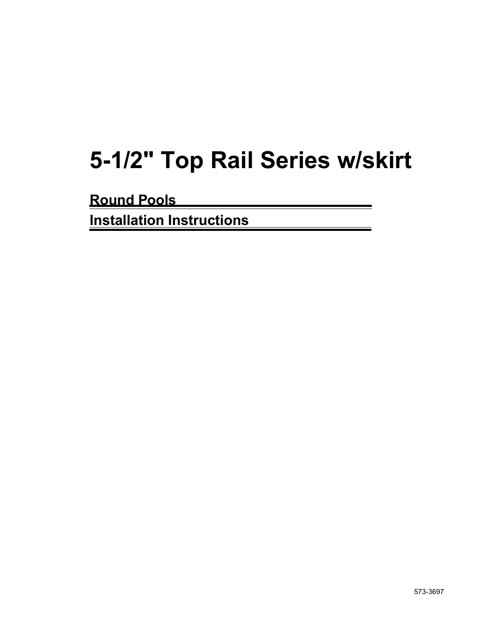# **5-1/2" Top Rail Series w/skirt**

**Round Pools**

**Installation Instructions**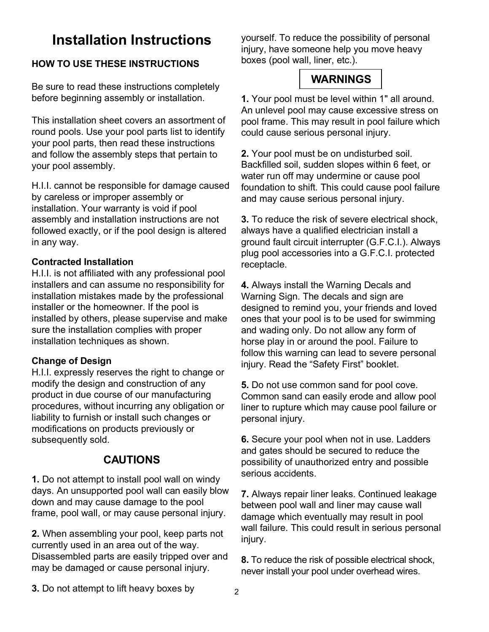## **Installation Instructions**

## **HOW TO USE THESE INSTRUCTIONS**

Be sure to read these instructions completely before beginning assembly or installation.

This installation sheet covers an assortment of round pools. Use your pool parts list to identify your pool parts, then read these instructions and follow the assembly steps that pertain to your pool assembly.

H.I.I. cannot be responsible for damage caused by careless or improper assembly or installation. Your warranty is void if pool assembly and installation instructions are not followed exactly, or if the pool design is altered in any way.

#### **Contracted Installation**

H.I.I. is not affiliated with any professional pool installers and can assume no responsibility for installation mistakes made by the professional installer or the homeowner. If the pool is installed by others, please supervise and make sure the installation complies with proper installation techniques as shown.

#### **Change of Design**

H.I.I. expressly reserves the right to change or modify the design and construction of any product in due course of our manufacturing procedures, without incurring any obligation or liability to furnish or install such changes or modifications on products previously or subsequently sold.

## **CAUTIONS**

**1.** Do not attempt to install pool wall on windy days. An unsupported pool wall can easily blow down and may cause damage to the pool frame, pool wall, or may cause personal injury.

**2.** When assembling your pool, keep parts not currently used in an area out of the way. Disassembled parts are easily tripped over and may be damaged or cause personal injury.

yourself. To reduce the possibility of personal injury, have someone help you move heavy boxes (pool wall, liner, etc.).

## **WARNINGS**

**1.** Your pool must be level within 1" all around. An unlevel pool may cause excessive stress on pool frame. This may result in pool failure which could cause serious personal injury.

**2.** Your pool must be on undisturbed soil. Backfilled soil, sudden slopes within 6 feet, or water run off may undermine or cause pool foundation to shift. This could cause pool failure and may cause serious personal injury.

**3.** To reduce the risk of severe electrical shock, always have a qualified electrician install a ground fault circuit interrupter (G.F.C.I.). Always plug pool accessories into a G.F.C.I. protected receptacle.

**4.** Always install the Warning Decals and Warning Sign. The decals and sign are designed to remind you, your friends and loved ones that your pool is to be used for swimming and wading only. Do not allow any form of horse play in or around the pool. Failure to follow this warning can lead to severe personal injury. Read the "Safety First" booklet.

**5.** Do not use common sand for pool cove. Common sand can easily erode and allow pool liner to rupture which may cause pool failure or personal injury.

**6.** Secure your pool when not in use. Ladders and gates should be secured to reduce the possibility of unauthorized entry and possible serious accidents.

**7.** Always repair liner leaks. Continued leakage between pool wall and liner may cause wall damage which eventually may result in pool wall failure. This could result in serious personal injury.

**8.** To reduce the risk of possible electrical shock, never install your pool under overhead wires.

**3.** Do not attempt to lift heavy boxes by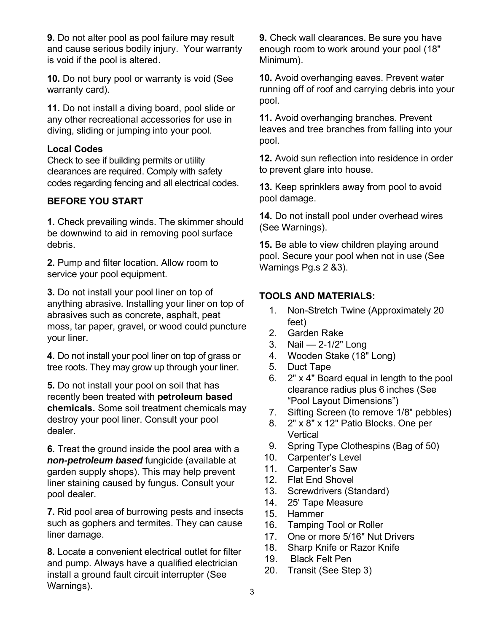**9.** Do not alter pool as pool failure may result and cause serious bodily injury. Your warranty is void if the pool is altered.

**10.** Do not bury pool or warranty is void (See warranty card).

**11.** Do not install a diving board, pool slide or any other recreational accessories for use in diving, sliding or jumping into your pool.

## **Local Codes**

Check to see if building permits or utility clearances are required. Comply with safety codes regarding fencing and all electrical codes.

## **BEFORE YOU START**

**1.** Check prevailing winds. The skimmer should be downwind to aid in removing pool surface debris.

**2.** Pump and filter location. Allow room to service your pool equipment.

**3.** Do not install your pool liner on top of anything abrasive. Installing your liner on top of abrasives such as concrete, asphalt, peat moss, tar paper, gravel, or wood could puncture your liner.

**4.** Do not install your pool liner on top of grass or tree roots. They may grow up through your liner.

**5.** Do not install your pool on soil that has recently been treated with **petroleum based chemicals.** Some soil treatment chemicals may destroy your pool liner. Consult your pool dealer.

**6.** Treat the ground inside the pool area with a **non-petroleum based** fungicide (available at garden supply shops). This may help prevent liner staining caused by fungus. Consult your pool dealer.

**7.** Rid pool area of burrowing pests and insects such as gophers and termites. They can cause liner damage.

**8.** Locate a convenient electrical outlet for filter and pump. Always have a qualified electrician install a ground fault circuit interrupter (See Warnings).

**9.** Check wall clearances. Be sure you have enough room to work around your pool (18" Minimum).

**10.** Avoid overhanging eaves. Prevent water running off of roof and carrying debris into your pool.

**11.** Avoid overhanging branches. Prevent leaves and tree branches from falling into your pool.

**12.** Avoid sun reflection into residence in order to prevent glare into house.

**13.** Keep sprinklers away from pool to avoid pool damage.

**14.** Do not install pool under overhead wires (See Warnings).

**15.** Be able to view children playing around pool. Secure your pool when not in use (See Warnings Pg.s 2 &3).

## **TOOLS AND MATERIALS:**

- 1. Non-Stretch Twine (Approximately 20 feet)
- 2. Garden Rake
- 3. Nail 2-1/2" Long
- 4. Wooden Stake (18" Long)
- 5. Duct Tape
- 6. 2" x 4" Board equal in length to the pool clearance radius plus 6 inches (See "Pool Layout Dimensions")
- 7. Sifting Screen (to remove 1/8" pebbles)
- 8. 2" x 8" x 12" Patio Blocks. One per **Vertical**
- 9. Spring Type Clothespins (Bag of 50)
- 10. Carpenter's Level
- 11. Carpenter's Saw
- 12. Flat End Shovel
- 13. Screwdrivers (Standard)
- 14. 25' Tape Measure
- 15. Hammer
- 16. Tamping Tool or Roller
- 17. One or more 5/16" Nut Drivers
- 18. Sharp Knife or Razor Knife
- 19. Black Felt Pen
- 20. Transit (See Step 3)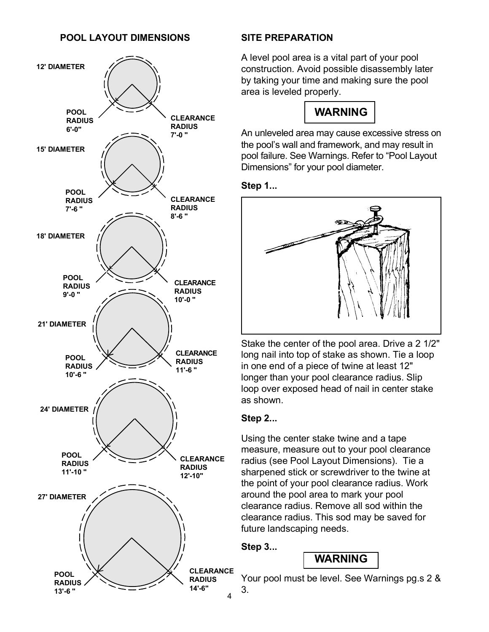#### **POOL LAYOUT DIMENSIONS**



#### **SITE PREPARATION**

A level pool area is a vital part of your pool construction. Avoid possible disassembly later by taking your time and making sure the pool area is leveled properly.



An unleveled area may cause excessive stress on the pool's wall and framework, and may result in pool failure. See Warnings. Refer to "Pool Layout Dimensions" for your pool diameter.

#### **Step 1...**



Stake the center of the pool area. Drive a 2 1/2" long nail into top of stake as shown. Tie a loop in one end of a piece of twine at least 12" longer than your pool clearance radius. Slip loop over exposed head of nail in center stake as shown.

## **Step 2...**

Using the center stake twine and a tape measure, measure out to your pool clearance radius (see Pool Layout Dimensions). Tie a sharpened stick or screwdriver to the twine at the point of your pool clearance radius. Work around the pool area to mark your pool clearance radius. Remove all sod within the clearance radius. This sod may be saved for future landscaping needs.

**Step 3...**

**WARNING**

Your pool must be level. See Warnings pg.s 2 & 3.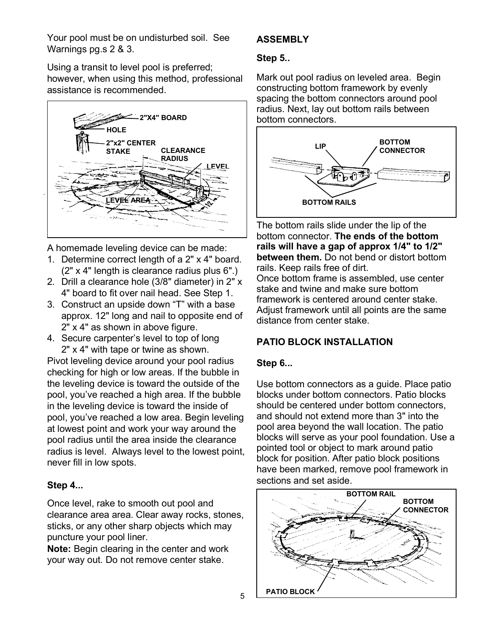Your pool must be on undisturbed soil. See Warnings pg.s 2 & 3.

Using a transit to level pool is preferred; however, when using this method, professional assistance is recommended.



A homemade leveling device can be made:

- 1. Determine correct length of a 2" x 4" board. (2" x 4" length is clearance radius plus 6".)
- 2. Drill a clearance hole (3/8" diameter) in 2" x 4" board to fit over nail head. See Step 1.
- 3. Construct an upside down "T" with a base approx. 12" long and nail to opposite end of 2" x 4" as shown in above figure.
- 4. Secure carpenter's level to top of long 2" x 4" with tape or twine as shown.

Pivot leveling device around your pool radius checking for high or low areas. If the bubble in the leveling device is toward the outside of the pool, you've reached a high area. If the bubble in the leveling device is toward the inside of pool, you've reached a low area. Begin leveling at lowest point and work your way around the pool radius until the area inside the clearance radius is level. Always level to the lowest point, never fill in low spots.

## **Step 4...**

Once level, rake to smooth out pool and clearance area area. Clear away rocks, stones, sticks, or any other sharp objects which may puncture your pool liner.

**Note:** Begin clearing in the center and work your way out. Do not remove center stake.

## **ASSEMBLY**

## **Step 5..**

Mark out pool radius on leveled area. Begin constructing bottom framework by evenly spacing the bottom connectors around pool radius. Next, lay out bottom rails between bottom connectors.



The bottom rails slide under the lip of the bottom connector. **The ends of the bottom rails will have a gap of approx 1/4" to 1/2" between them.** Do not bend or distort bottom rails. Keep rails free of dirt.

Once bottom frame is assembled, use center stake and twine and make sure bottom framework is centered around center stake. Adjust framework until all points are the same distance from center stake.

## **PATIO BLOCK INSTALLATION**

## **Step 6...**

Use bottom connectors as a guide. Place patio blocks under bottom connectors. Patio blocks should be centered under bottom connectors, and should not extend more than 3" into the pool area beyond the wall location. The patio blocks will serve as your pool foundation. Use a pointed tool or object to mark around patio block for position. After patio block positions have been marked, remove pool framework in sections and set aside.

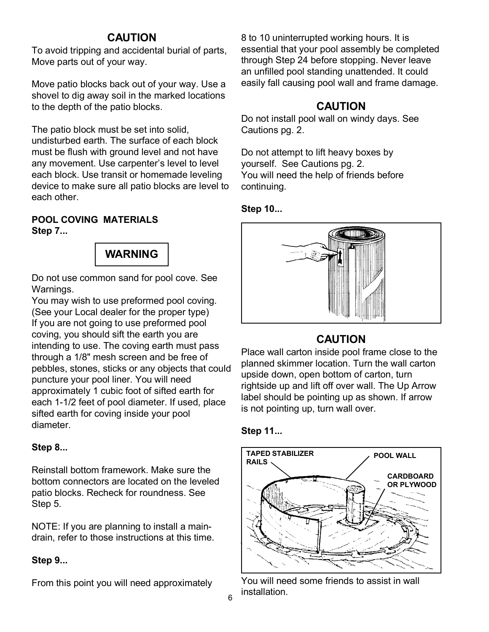## **CAUTION**

To avoid tripping and accidental burial of parts, Move parts out of your way.

Move patio blocks back out of your way. Use a shovel to dig away soil in the marked locations to the depth of the patio blocks.

The patio block must be set into solid, undisturbed earth. The surface of each block must be flush with ground level and not have any movement. Use carpenter's level to level each block. Use transit or homemade leveling device to make sure all patio blocks are level to each other.

## **POOL COVING MATERIALS Step 7...**



Do not use common sand for pool cove. See Warnings.

You may wish to use preformed pool coving. (See your Local dealer for the proper type) If you are not going to use preformed pool coving, you should sift the earth you are intending to use. The coving earth must pass through a 1/8" mesh screen and be free of pebbles, stones, sticks or any objects that could puncture your pool liner. You will need approximately 1 cubic foot of sifted earth for each 1-1/2 feet of pool diameter. If used, place sifted earth for coving inside your pool diameter.

## **Step 8...**

Reinstall bottom framework. Make sure the bottom connectors are located on the leveled patio blocks. Recheck for roundness. See Step 5.

NOTE: If you are planning to install a maindrain, refer to those instructions at this time.

## **Step 9...**

From this point you will need approximately

8 to 10 uninterrupted working hours. It is essential that your pool assembly be completed through Step 24 before stopping. Never leave an unfilled pool standing unattended. It could easily fall causing pool wall and frame damage.

## **CAUTION**

Do not install pool wall on windy days. See Cautions pg. 2.

Do not attempt to lift heavy boxes by yourself. See Cautions pg. 2. You will need the help of friends before continuing.

## **Step 10...**



## **CAUTION**

Place wall carton inside pool frame close to the planned skimmer location. Turn the wall carton upside down, open bottom of carton, turn rightside up and lift off over wall. The Up Arrow label should be pointing up as shown. If arrow is not pointing up, turn wall over.

## **Step 11...**



You will need some friends to assist in wall installation.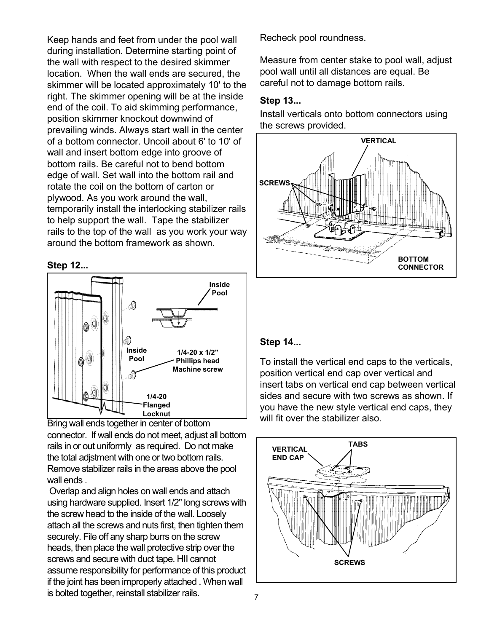Keep hands and feet from under the pool wall during installation. Determine starting point of the wall with respect to the desired skimmer location. When the wall ends are secured, the skimmer will be located approximately 10' to the right. The skimmer opening will be at the inside end of the coil. To aid skimming performance, position skimmer knockout downwind of prevailing winds. Always start wall in the center of a bottom connector. Uncoil about 6' to 10' of wall and insert bottom edge into groove of bottom rails. Be careful not to bend bottom edge of wall. Set wall into the bottom rail and rotate the coil on the bottom of carton or plywood. As you work around the wall, temporarily install the interlocking stabilizer rails to help support the wall. Tape the stabilizer rails to the top of the wall as you work your way around the bottom framework as shown.

#### **Step 12...**



Bring wall ends together in center of bottom connector. If wall ends do not meet, adjust all bottom rails in or out uniformly as required. Do not make the total adjstment with one or two bottom rails. Remove stabilizer rails in the areas above the pool wall ends .

 Overlap and align holes on wall ends and attach using hardware supplied. Insert 1/2" long screws with the screw head to the inside of the wall. Loosely attach all the screws and nuts first, then tighten them securely. File off any sharp burrs on the screw heads, then place the wall protective strip over the screws and secure with duct tape. HII cannot assume responsibility for performance of this product if the joint has been improperly attached . When wall is bolted together, reinstall stabilizer rails.

Recheck pool roundness.

Measure from center stake to pool wall, adjust pool wall until all distances are equal. Be careful not to damage bottom rails.

#### **Step 13...**

Install verticals onto bottom connectors using the screws provided.



#### **Step 14...**

To install the vertical end caps to the verticals, position vertical end cap over vertical and insert tabs on vertical end cap between vertical sides and secure with two screws as shown. If you have the new style vertical end caps, they will fit over the stabilizer also.

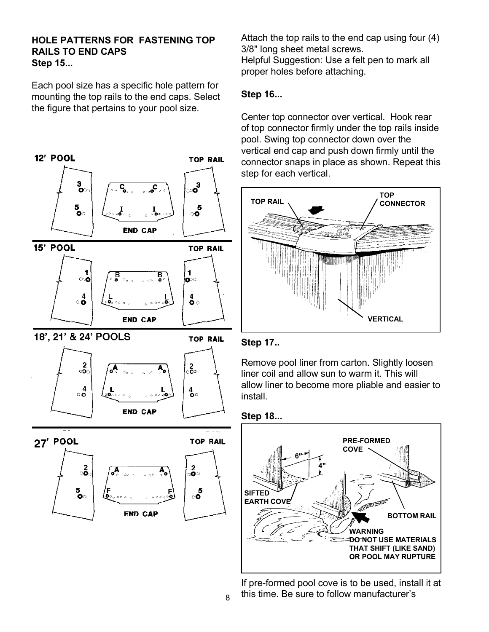#### **HOLE PATTERNS FOR FASTENING TOP RAILS TO END CAPS Step 15...**

Each pool size has a specific hole pattern for mounting the top rails to the end caps. Select the figure that pertains to your pool size.



Attach the top rails to the end cap using four (4) 3/8" long sheet metal screws. Helpful Suggestion: Use a felt pen to mark all proper holes before attaching.

## **Step 16...**

Center top connector over vertical. Hook rear of top connector firmly under the top rails inside pool. Swing top connector down over the vertical end cap and push down firmly until the connector snaps in place as shown. Repeat this step for each vertical.





Remove pool liner from carton. Slightly loosen liner coil and allow sun to warm it. This will allow liner to become more pliable and easier to install.





If pre-formed pool cove is to be used, install it at  $_{8}$  this time. Be sure to follow manufacturer's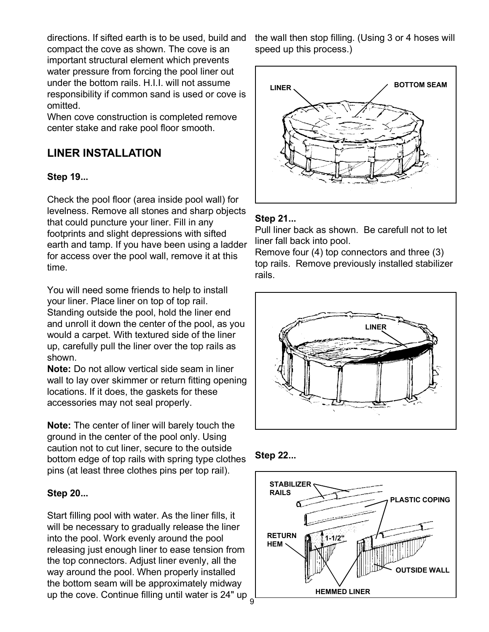directions. If sifted earth is to be used, build and compact the cove as shown. The cove is an important structural element which prevents water pressure from forcing the pool liner out under the bottom rails. H.I.I. will not assume responsibility if common sand is used or cove is omitted.

When cove construction is completed remove center stake and rake pool floor smooth.

## **LINER INSTALLATION**

## **Step 19...**

Check the pool floor (area inside pool wall) for levelness. Remove all stones and sharp objects that could puncture your liner. Fill in any footprints and slight depressions with sifted earth and tamp. If you have been using a ladder for access over the pool wall, remove it at this time.

You will need some friends to help to install your liner. Place liner on top of top rail. Standing outside the pool, hold the liner end and unroll it down the center of the pool, as you would a carpet. With textured side of the liner up, carefully pull the liner over the top rails as shown.

**Note:** Do not allow vertical side seam in liner wall to lay over skimmer or return fitting opening locations. If it does, the gaskets for these accessories may not seal properly.

**Note:** The center of liner will barely touch the ground in the center of the pool only. Using caution not to cut liner, secure to the outside bottom edge of top rails with spring type clothes pins (at least three clothes pins per top rail).

## **Step 20...**

Start filling pool with water. As the liner fills, it will be necessary to gradually release the liner into the pool. Work evenly around the pool releasing just enough liner to ease tension from the top connectors. Adjust liner evenly, all the way around the pool. When properly installed the bottom seam will be approximately midway up the cove. Continue filling until water is 24" up the wall then stop filling. (Using 3 or 4 hoses will speed up this process.)



#### **Step 21...**

Pull liner back as shown. Be carefull not to let liner fall back into pool.

Remove four (4) top connectors and three (3) top rails. Remove previously installed stabilizer rails.





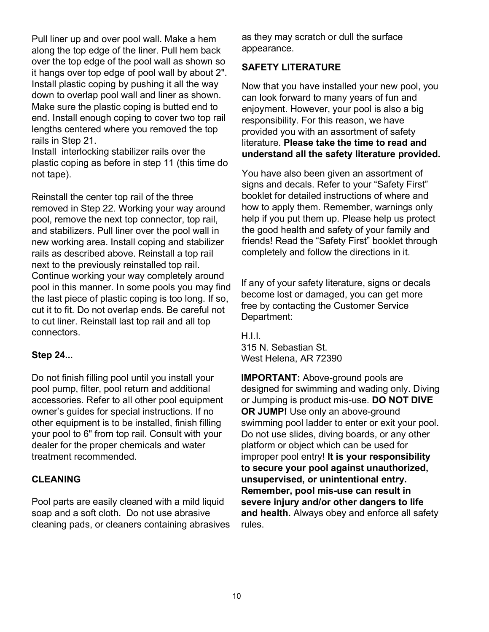Pull liner up and over pool wall. Make a hem along the top edge of the liner. Pull hem back over the top edge of the pool wall as shown so it hangs over top edge of pool wall by about 2". Install plastic coping by pushing it all the way down to overlap pool wall and liner as shown. Make sure the plastic coping is butted end to end. Install enough coping to cover two top rail lengths centered where you removed the top rails in Step 21.

Install interlocking stabilizer rails over the plastic coping as before in step 11 (this time do not tape).

Reinstall the center top rail of the three removed in Step 22. Working your way around pool, remove the next top connector, top rail, and stabilizers. Pull liner over the pool wall in new working area. Install coping and stabilizer rails as described above. Reinstall a top rail next to the previously reinstalled top rail. Continue working your way completely around pool in this manner. In some pools you may find the last piece of plastic coping is too long. If so, cut it to fit. Do not overlap ends. Be careful not to cut liner. Reinstall last top rail and all top connectors.

#### **Step 24...**

Do not finish filling pool until you install your pool pump, filter, pool return and additional accessories. Refer to all other pool equipment owner's guides for special instructions. If no other equipment is to be installed, finish filling your pool to 6" from top rail. Consult with your dealer for the proper chemicals and water treatment recommended.

#### **CLEANING**

Pool parts are easily cleaned with a mild liquid soap and a soft cloth. Do not use abrasive cleaning pads, or cleaners containing abrasives as they may scratch or dull the surface appearance.

#### **SAFETY LITERATURE**

Now that you have installed your new pool, you can look forward to many years of fun and enjoyment. However, your pool is also a big responsibility. For this reason, we have provided you with an assortment of safety literature. **Please take the time to read and understand all the safety literature provided.**

You have also been given an assortment of signs and decals. Refer to your "Safety First" booklet for detailed instructions of where and how to apply them. Remember, warnings only help if you put them up. Please help us protect the good health and safety of your family and friends! Read the "Safety First" booklet through completely and follow the directions in it.

If any of your safety literature, signs or decals become lost or damaged, you can get more free by contacting the Customer Service Department:

H.I.I. 315 N. Sebastian St. West Helena, AR 72390

**IMPORTANT:** Above-ground pools are designed for swimming and wading only. Diving or Jumping is product mis-use. **DO NOT DIVE OR JUMP!** Use only an above-ground swimming pool ladder to enter or exit your pool. Do not use slides, diving boards, or any other platform or object which can be used for improper pool entry! **It is your responsibility to secure your pool against unauthorized, unsupervised, or unintentional entry. Remember, pool mis-use can result in severe injury and/or other dangers to life and health.** Always obey and enforce all safety rules.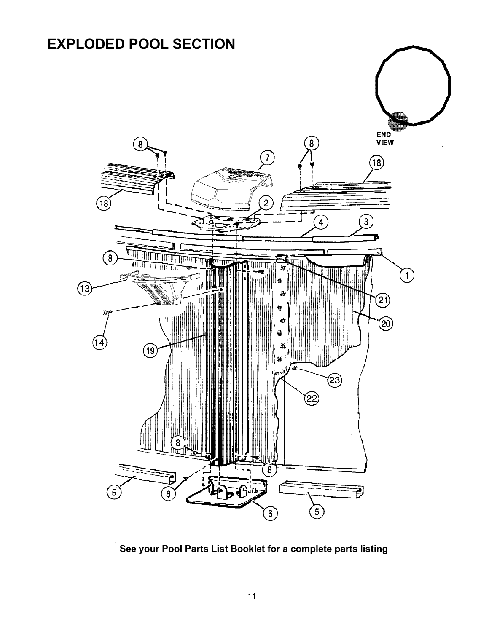

**See your Pool Parts List Booklet for a complete parts listing**